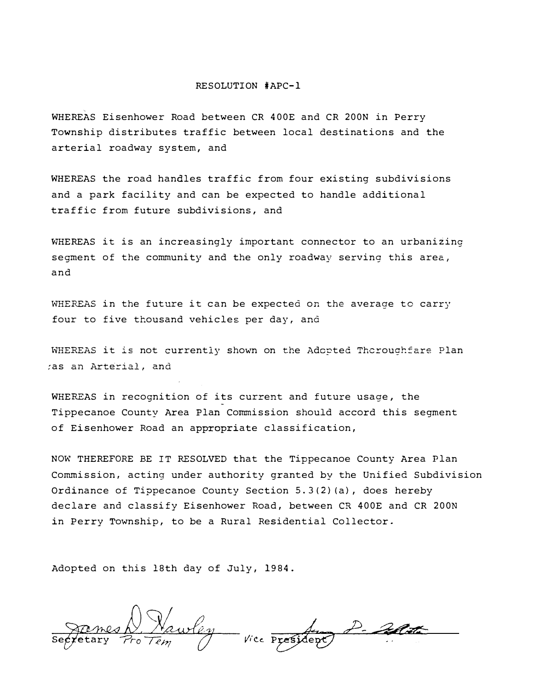## RESOLUTION #APC-1

WHEREAS Eisenhower Road between CR 400E and CR 200N in Perry Township distributes traffic between local destinations and the arterial roadway system, and

WHEREAS the road handles traffic from four existing subdivisions and a park facility and can be expected to handle additional traffic from future subdivisions, and

WHEREAS it is an increasingly important connector to an urbanizing segment of the community and the only roadway serving this area, and

WHEREAS in the future it can be expected on the average to carry four to five thousand vehicles per day, and

WHEREAS it is not currently shown on the Adopted Thoroughfare Plan :as an Arterial, and

WHEREAS in recognition of its current and future usage, the Tippecanoe County Area Plan Commission should accord this segment of Eisenhower Road an appropriate classification,

NOW THEREFORE BE IT RESOLVED that the Tippecanoe County Area Plan Commission, acting under authority granted by the Unified Subdivision Ordinance of Tippecanoe County Section 5.3(2} (a}, does hereby declare and classify Eisenhower Road, between CR 400E and CR 200N in Perry Township, to be a Rural Residential Collector.

Adopted on this 18th day of July, 1984.

<u>Hawley</u> Vice Preside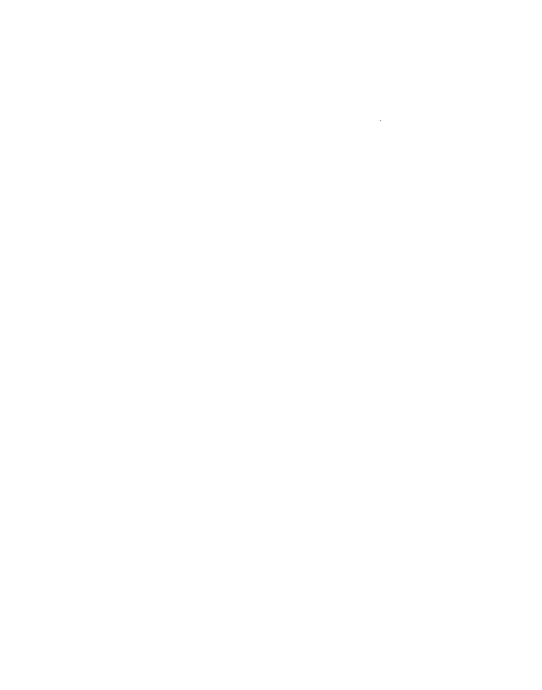$\label{eq:2.1} \frac{1}{\sqrt{2}}\left(\frac{1}{\sqrt{2}}\right)^{2} \left(\frac{1}{\sqrt{2}}\right)^{2} \left(\frac{1}{\sqrt{2}}\right)^{2} \left(\frac{1}{\sqrt{2}}\right)^{2} \left(\frac{1}{\sqrt{2}}\right)^{2} \left(\frac{1}{\sqrt{2}}\right)^{2} \left(\frac{1}{\sqrt{2}}\right)^{2} \left(\frac{1}{\sqrt{2}}\right)^{2} \left(\frac{1}{\sqrt{2}}\right)^{2} \left(\frac{1}{\sqrt{2}}\right)^{2} \left(\frac{1}{\sqrt{2}}\right)^{2} \left(\$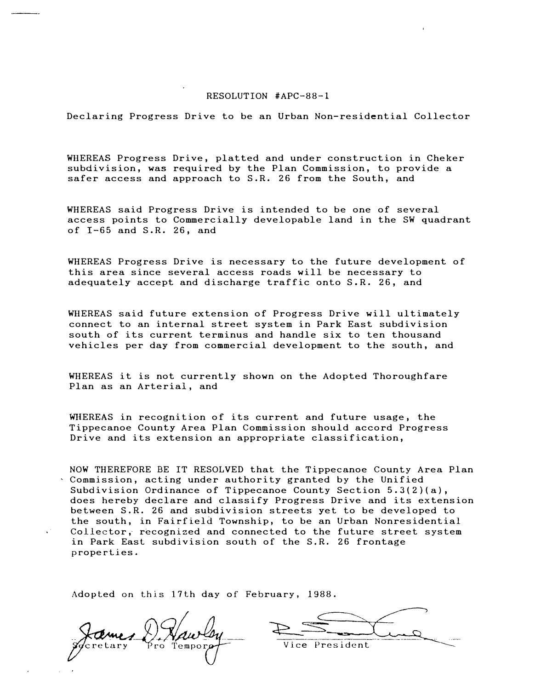## RESOLUTION #APC-88-1

Declaring Progress Drive to be an Urban Non-residential Collector

WHEREAS Progress Drive, platted and under construction in Cheker subdivision, was required by the Plan Commission, to provide a safer access and approach to S.R. 26 from the South, and

WHEREAS said Progress Drive is intended to be one of several access points to Commercially developable land in the SW quadrant of I-65 and S.R. 26, and

WHEREAS Progress Drive is necessary to the future development of this area since several access roads will be necessary to adequately accept and discharge traffic onto S.R. 26, and

WHEREAS said future extension of Progress Drive will ultimately connect to an internal street system in Park East subdivision south of its current terminus and handle six to ten thousand vehicles per day from commercial development to the south, and

WHEREAS it is not currently shown on the Adopted Thoroughfare Plan as an Arterial, and

WHEREAS in recognition of its current and future usage, the Tippecanoe County Area Plan Commission should accord Progress Drive and its extension an appropriate classification,

NOW THEREFORE BE IT RESOLVED that the Tippecanoe County Area Plan ' Commission, acting under authority granted by the Unified Subdivision Ordinance of Tippecanoe County Section 5.3(2}(a), does hereby declare and classify Progress Drive and its extension between S.R. 26 and subdivision streets yet to be developed to the south, in Fairfield Township, to be an Urban Nonresidential Collector, recognized and connected to the future street system in Park East subdivision south of the S.R. 26 frontage properties.

Adopted on this 17th day of February, 1988.

Jeane D. Hawlow

Vice President